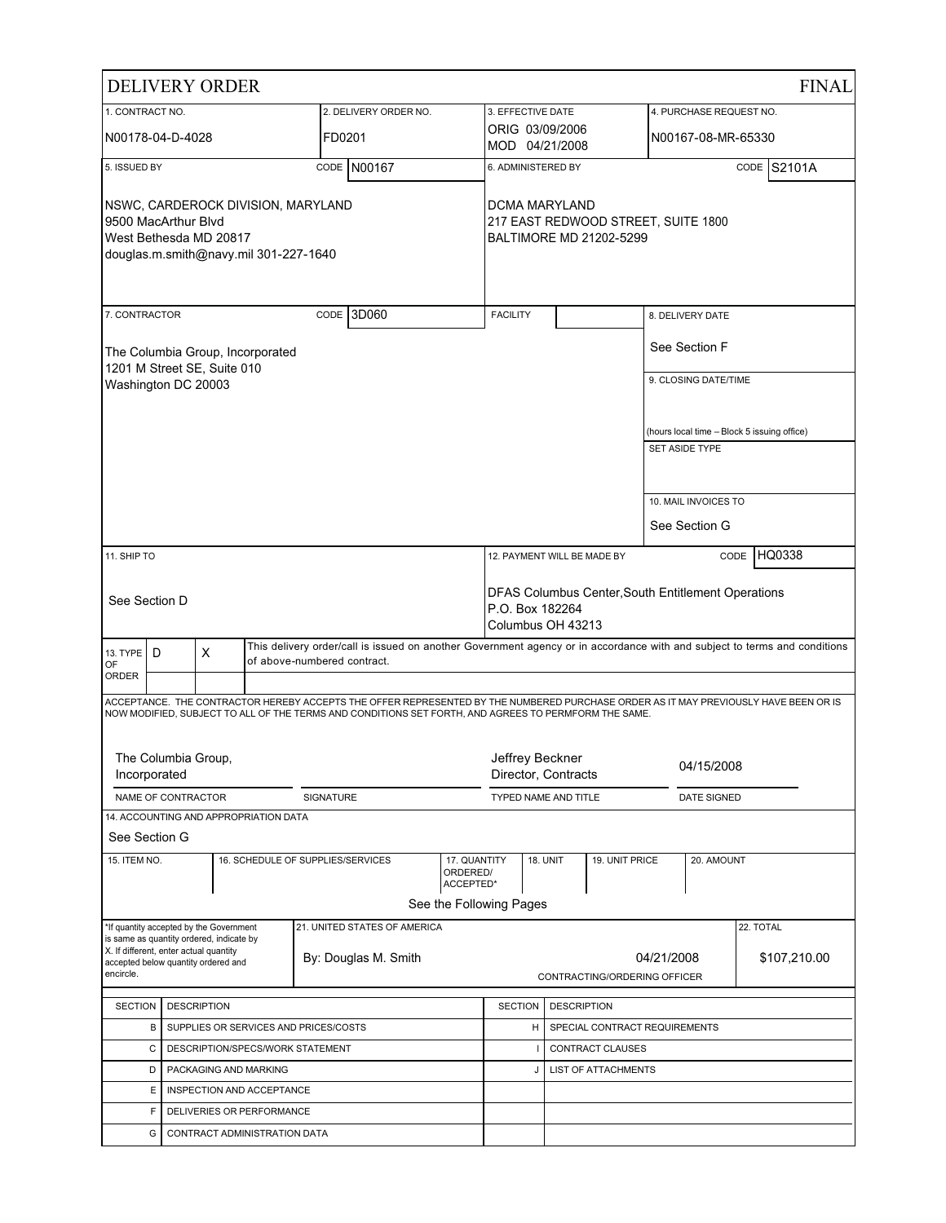|                                                                                                                              |                                                            | <b>DELIVERY ORDER</b>                                                               |                                       |                                                                                                      |                                                                                            |                                        |                 |                               |  |                         | <b>FINAL</b>                                                                                                                        |
|------------------------------------------------------------------------------------------------------------------------------|------------------------------------------------------------|-------------------------------------------------------------------------------------|---------------------------------------|------------------------------------------------------------------------------------------------------|--------------------------------------------------------------------------------------------|----------------------------------------|-----------------|-------------------------------|--|-------------------------|-------------------------------------------------------------------------------------------------------------------------------------|
| 1. CONTRACT NO.                                                                                                              |                                                            |                                                                                     |                                       | 2. DELIVERY ORDER NO.                                                                                |                                                                                            | 3. EFFECTIVE DATE                      |                 |                               |  | 4. PURCHASE REQUEST NO. |                                                                                                                                     |
|                                                                                                                              | N00178-04-D-4028                                           |                                                                                     |                                       | FD0201                                                                                               |                                                                                            | ORIG 03/09/2006<br>MOD 04/21/2008      |                 |                               |  | N00167-08-MR-65330      |                                                                                                                                     |
| 5. ISSUED BY                                                                                                                 |                                                            |                                                                                     |                                       | CODE N00167                                                                                          |                                                                                            | 6. ADMINISTERED BY                     |                 |                               |  |                         | CODE S2101A                                                                                                                         |
| NSWC, CARDEROCK DIVISION, MARYLAND<br>9500 MacArthur Blvd<br>West Bethesda MD 20817<br>douglas.m.smith@navy.mil 301-227-1640 |                                                            | DCMA MARYLAND                                                                       |                                       | 217 EAST REDWOOD STREET, SUITE 1800<br>BALTIMORE MD 21202-5299                                       |                                                                                            |                                        |                 |                               |  |                         |                                                                                                                                     |
| 7. CONTRACTOR                                                                                                                |                                                            |                                                                                     |                                       | 13D060<br>CODE                                                                                       |                                                                                            | <b>FACILITY</b>                        |                 |                               |  | 8. DELIVERY DATE        |                                                                                                                                     |
|                                                                                                                              |                                                            | 1201 M Street SE, Suite 010                                                         | The Columbia Group, Incorporated      |                                                                                                      |                                                                                            |                                        |                 |                               |  | See Section F           |                                                                                                                                     |
|                                                                                                                              | Washington DC 20003                                        |                                                                                     |                                       |                                                                                                      |                                                                                            |                                        |                 |                               |  | 9. CLOSING DATE/TIME    |                                                                                                                                     |
|                                                                                                                              |                                                            |                                                                                     |                                       |                                                                                                      |                                                                                            |                                        |                 |                               |  |                         |                                                                                                                                     |
|                                                                                                                              |                                                            |                                                                                     |                                       |                                                                                                      |                                                                                            |                                        |                 |                               |  | <b>SET ASIDE TYPE</b>   | (hours local time - Block 5 issuing office)                                                                                         |
|                                                                                                                              |                                                            |                                                                                     |                                       |                                                                                                      |                                                                                            |                                        |                 |                               |  |                         |                                                                                                                                     |
|                                                                                                                              |                                                            |                                                                                     |                                       |                                                                                                      |                                                                                            |                                        |                 |                               |  | 10. MAIL INVOICES TO    |                                                                                                                                     |
|                                                                                                                              |                                                            |                                                                                     |                                       |                                                                                                      |                                                                                            |                                        |                 |                               |  | See Section G           |                                                                                                                                     |
| 11. SHIP TO                                                                                                                  |                                                            |                                                                                     |                                       |                                                                                                      |                                                                                            | 12. PAYMENT WILL BE MADE BY            |                 |                               |  |                         | HQ0338<br>CODE                                                                                                                      |
|                                                                                                                              |                                                            |                                                                                     |                                       |                                                                                                      |                                                                                            |                                        |                 |                               |  |                         |                                                                                                                                     |
|                                                                                                                              | See Section D                                              |                                                                                     |                                       |                                                                                                      | DFAS Columbus Center, South Entitlement Operations<br>P.O. Box 182264<br>Columbus OH 43213 |                                        |                 |                               |  |                         |                                                                                                                                     |
| 13. TYPE  <br>OF                                                                                                             | D                                                          | X                                                                                   |                                       | of above-numbered contract.                                                                          |                                                                                            |                                        |                 |                               |  |                         | This delivery order/call is issued on another Government agency or in accordance with and subject to terms and conditions           |
| ORDER                                                                                                                        |                                                            |                                                                                     |                                       |                                                                                                      |                                                                                            |                                        |                 |                               |  |                         |                                                                                                                                     |
|                                                                                                                              |                                                            |                                                                                     |                                       | NOW MODIFIED, SUBJECT TO ALL OF THE TERMS AND CONDITIONS SET FORTH, AND AGREES TO PERMFORM THE SAME. |                                                                                            |                                        |                 |                               |  |                         | ACCEPTANCE. THE CONTRACTOR HEREBY ACCEPTS THE OFFER REPRESENTED BY THE NUMBERED PURCHASE ORDER AS IT MAY PREVIOUSLY HAVE BEEN OR IS |
|                                                                                                                              | The Columbia Group,<br>Incorporated                        |                                                                                     |                                       |                                                                                                      |                                                                                            | Jeffrey Beckner<br>Director, Contracts |                 |                               |  | 04/15/2008              |                                                                                                                                     |
|                                                                                                                              | NAME OF CONTRACTOR                                         |                                                                                     |                                       | SIGNATURE                                                                                            |                                                                                            | TYPED NAME AND TITLE                   |                 |                               |  | <b>DATE SIGNED</b>      |                                                                                                                                     |
|                                                                                                                              |                                                            |                                                                                     | 14. ACCOUNTING AND APPROPRIATION DATA |                                                                                                      |                                                                                            |                                        |                 |                               |  |                         |                                                                                                                                     |
| See Section G                                                                                                                |                                                            |                                                                                     |                                       |                                                                                                      |                                                                                            |                                        |                 |                               |  |                         |                                                                                                                                     |
| 15. ITEM NO.                                                                                                                 |                                                            |                                                                                     |                                       | 16. SCHEDULE OF SUPPLIES/SERVICES                                                                    | 17. QUANTITY<br>ORDERED/<br>ACCEPTED*                                                      |                                        | <b>18. UNIT</b> | 19. UNIT PRICE                |  | 20. AMOUNT              |                                                                                                                                     |
|                                                                                                                              |                                                            |                                                                                     |                                       |                                                                                                      | See the Following Pages                                                                    |                                        |                 |                               |  |                         |                                                                                                                                     |
|                                                                                                                              |                                                            | *If quantity accepted by the Government<br>is same as quantity ordered, indicate by |                                       | 21. UNITED STATES OF AMERICA                                                                         |                                                                                            |                                        |                 |                               |  |                         | 22. TOTAL                                                                                                                           |
| X. If different, enter actual quantity<br>By: Douglas M. Smith<br>accepted below quantity ordered and                        |                                                            |                                                                                     |                                       |                                                                                                      |                                                                                            | 04/21/2008                             |                 | \$107,210.00                  |  |                         |                                                                                                                                     |
| encircle.                                                                                                                    | CONTRACTING/ORDERING OFFICER                               |                                                                                     |                                       |                                                                                                      |                                                                                            |                                        |                 |                               |  |                         |                                                                                                                                     |
| <b>SECTION</b>                                                                                                               | <b>DESCRIPTION</b><br><b>SECTION</b><br><b>DESCRIPTION</b> |                                                                                     |                                       |                                                                                                      |                                                                                            |                                        |                 |                               |  |                         |                                                                                                                                     |
|                                                                                                                              | В                                                          |                                                                                     |                                       | SUPPLIES OR SERVICES AND PRICES/COSTS                                                                |                                                                                            | H                                      |                 | SPECIAL CONTRACT REQUIREMENTS |  |                         |                                                                                                                                     |
|                                                                                                                              | С                                                          |                                                                                     |                                       | DESCRIPTION/SPECS/WORK STATEMENT                                                                     |                                                                                            |                                        |                 | CONTRACT CLAUSES              |  |                         |                                                                                                                                     |
|                                                                                                                              | D                                                          | PACKAGING AND MARKING                                                               |                                       |                                                                                                      |                                                                                            | J                                      |                 | <b>LIST OF ATTACHMENTS</b>    |  |                         |                                                                                                                                     |
|                                                                                                                              | Ε                                                          |                                                                                     | INSPECTION AND ACCEPTANCE             |                                                                                                      |                                                                                            |                                        |                 |                               |  |                         |                                                                                                                                     |
|                                                                                                                              | F                                                          |                                                                                     | DELIVERIES OR PERFORMANCE             |                                                                                                      |                                                                                            |                                        |                 |                               |  |                         |                                                                                                                                     |
|                                                                                                                              | G                                                          |                                                                                     | CONTRACT ADMINISTRATION DATA          |                                                                                                      |                                                                                            |                                        |                 |                               |  |                         |                                                                                                                                     |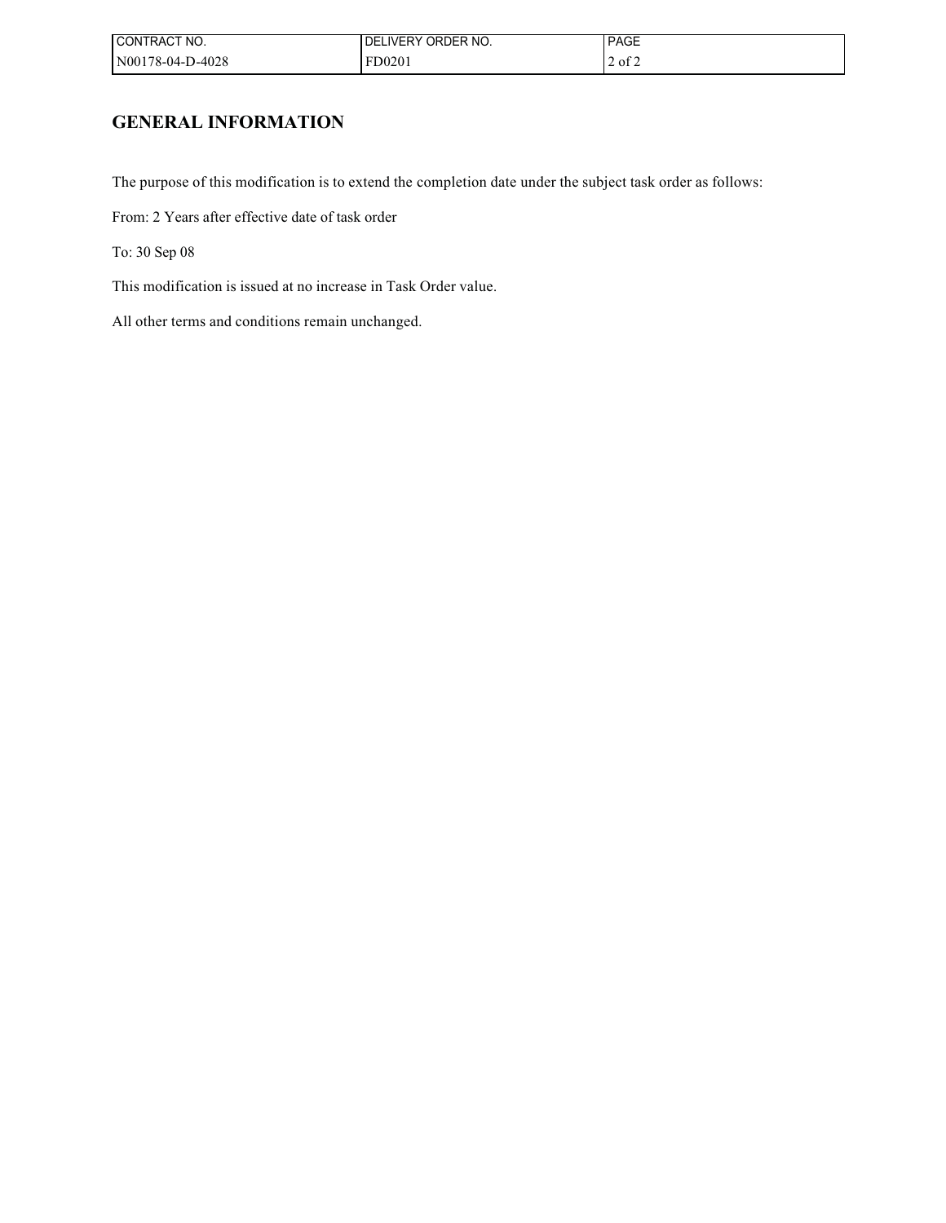| CONTRACT NO.     | <b>IVERY ORDER NO.</b><br>DF | <b>PAGE</b> |
|------------------|------------------------------|-------------|
| N00178-04-D-4028 | FD020 <sup>1</sup>           | $2$ of $2$  |

# **GENERAL INFORMATION**

The purpose of this modification is to extend the completion date under the subject task order as follows:

From: 2 Years after effective date of task order

To: 30 Sep 08

This modification is issued at no increase in Task Order value.

All other terms and conditions remain unchanged.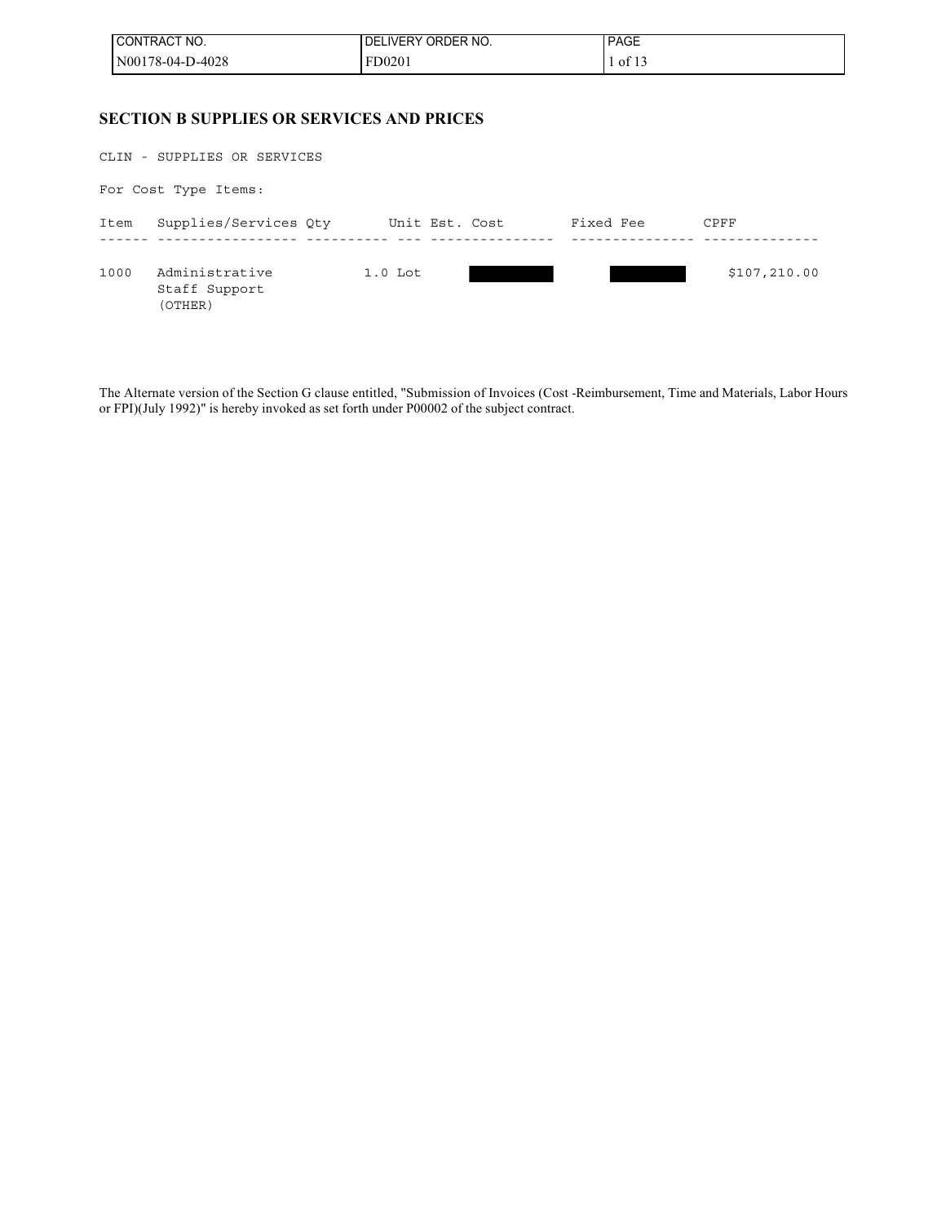| <b>I CONTRACT NO.</b> | ' IVERY ORDER NO.<br>DE | <b>PAGE</b> |
|-----------------------|-------------------------|-------------|
| $N00178-04-D-4028$    | FD0201                  | of $13$     |

### **SECTION B SUPPLIES OR SERVICES AND PRICES**

|      | CLIN - SUPPLIES OR SERVICES                |                |  |           |               |  |
|------|--------------------------------------------|----------------|--|-----------|---------------|--|
|      | For Cost Type Items:                       |                |  |           |               |  |
| Item | Supplies/Services Qty                      | Unit Est. Cost |  | Fixed Fee | CPFF          |  |
| 1000 | Administrative<br>Staff Support<br>(OTHER) | $1.0$ Lot      |  |           | \$107, 210.00 |  |

The Alternate version of the Section G clause entitled, "Submission of Invoices (Cost -Reimbursement, Time and Materials, Labor Hours or FPI)(July 1992)" is hereby invoked as set forth under P00002 of the subject contract.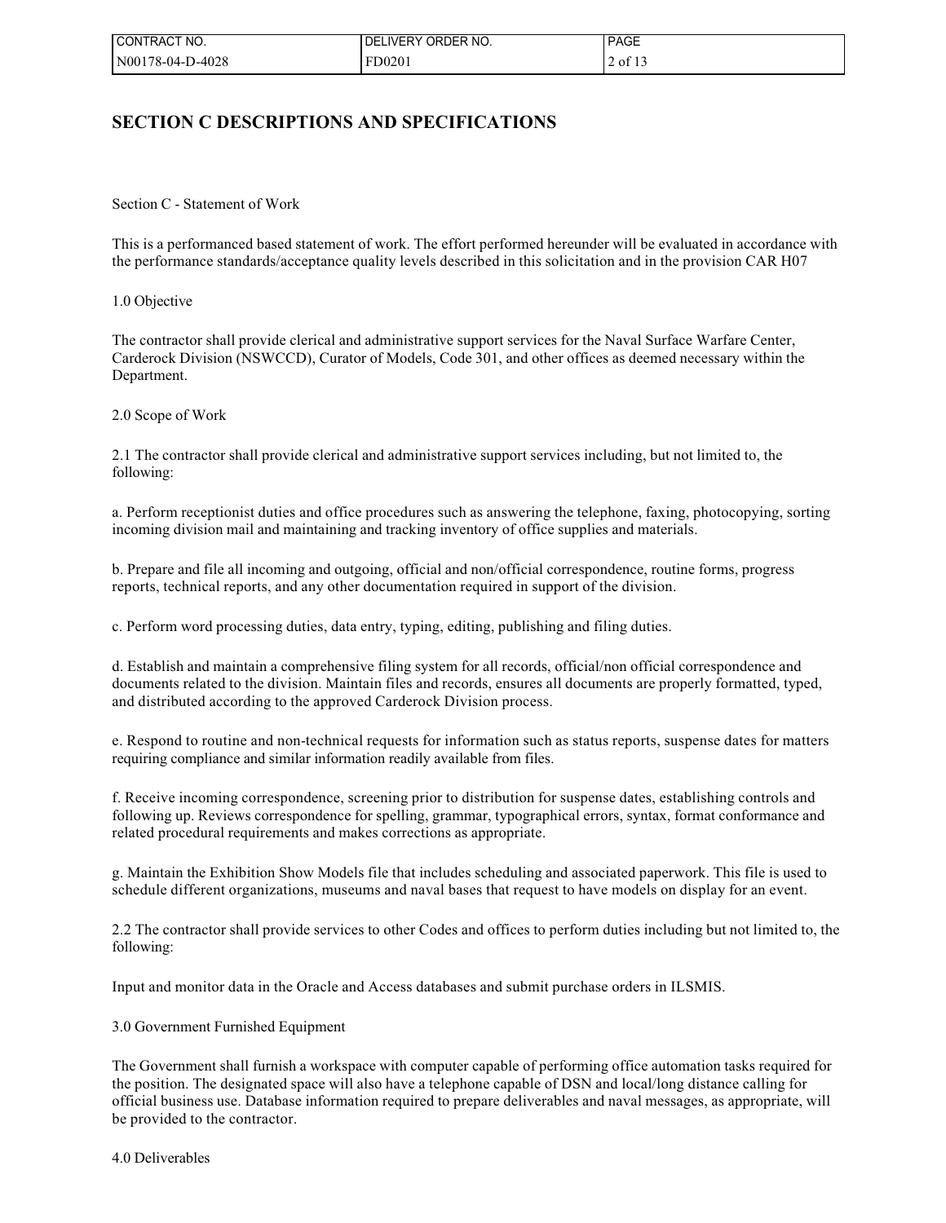| l CONTRACT NO.   | I DELIVERY ORDER NO. | <b>PAGE</b> |
|------------------|----------------------|-------------|
| N00178-04-D-4028 | FD0201               | 2 of 13     |

### **SECTION C DESCRIPTIONS AND SPECIFICATIONS**

Section C - Statement of Work

This is a performanced based statement of work. The effort performed hereunder will be evaluated in accordance with the performance standards/acceptance quality levels described in this solicitation and in the provision CAR H07

1.0 Objective

The contractor shall provide clerical and administrative support services for the Naval Surface Warfare Center, Carderock Division (NSWCCD), Curator of Models, Code 301, and other offices as deemed necessary within the Department.

2.0 Scope of Work

2.1 The contractor shall provide clerical and administrative support services including, but not limited to, the following:

a. Perform receptionist duties and office procedures such as answering the telephone, faxing, photocopying, sorting incoming division mail and maintaining and tracking inventory of office supplies and materials.

b. Prepare and file all incoming and outgoing, official and non/official correspondence, routine forms, progress reports, technical reports, and any other documentation required in support of the division.

c. Perform word processing duties, data entry, typing, editing, publishing and filing duties.

d. Establish and maintain a comprehensive filing system for all records, official/non official correspondence and documents related to the division. Maintain files and records, ensures all documents are properly formatted, typed, and distributed according to the approved Carderock Division process.

e. Respond to routine and non-technical requests for information such as status reports, suspense dates for matters requiring compliance and similar information readily available from files.

f. Receive incoming correspondence, screening prior to distribution for suspense dates, establishing controls and following up. Reviews correspondence for spelling, grammar, typographical errors, syntax, format conformance and related procedural requirements and makes corrections as appropriate.

g. Maintain the Exhibition Show Models file that includes scheduling and associated paperwork. This file is used to schedule different organizations, museums and naval bases that request to have models on display for an event.

2.2 The contractor shall provide services to other Codes and offices to perform duties including but not limited to, the following:

Input and monitor data in the Oracle and Access databases and submit purchase orders in ILSMIS.

### 3.0 Government Furnished Equipment

The Government shall furnish a workspace with computer capable of performing office automation tasks required for the position. The designated space will also have a telephone capable of DSN and local/long distance calling for official business use. Database information required to prepare deliverables and naval messages, as appropriate, will be provided to the contractor.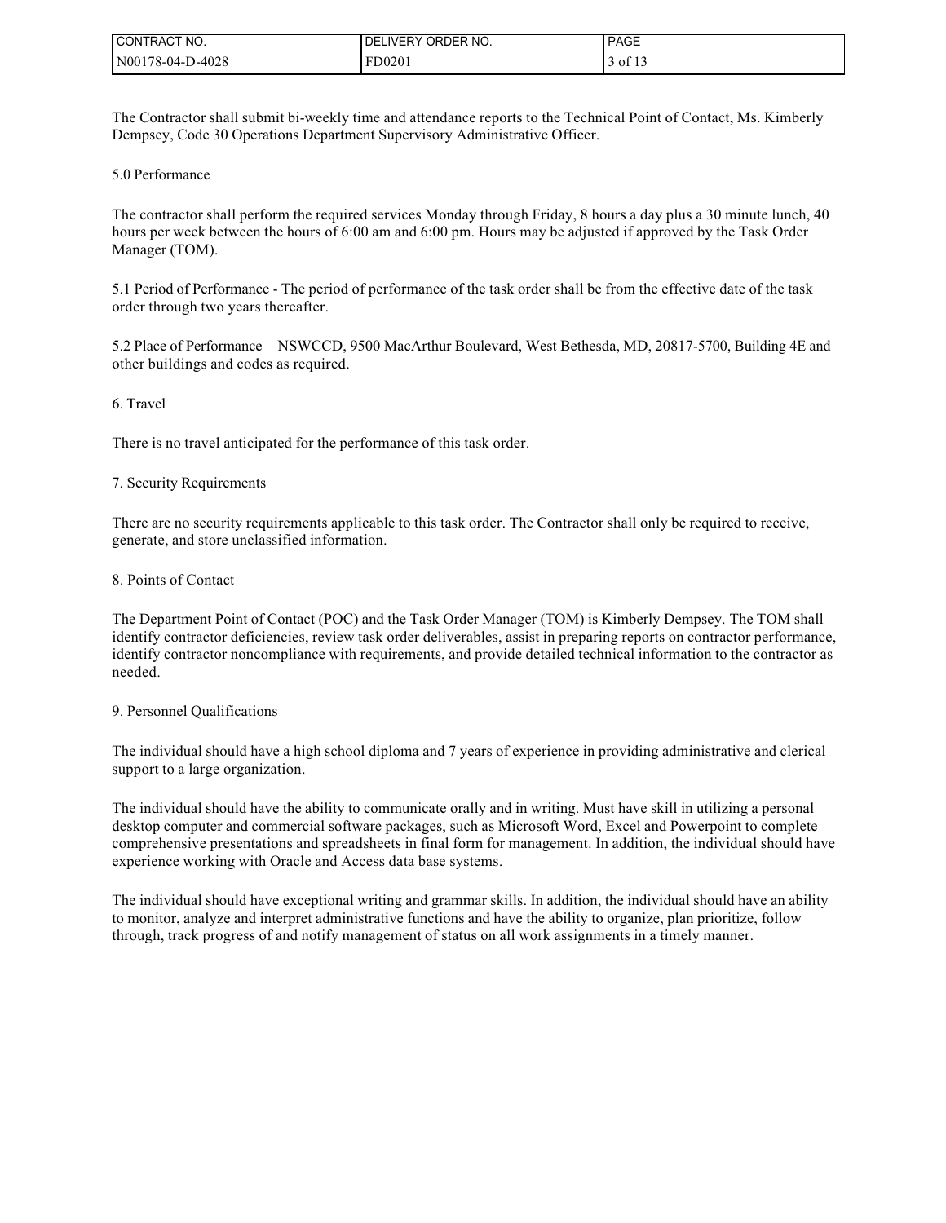| I CONTRACT NO.   | I DELIVERY ORDER NO. | <b>PAGE</b> |
|------------------|----------------------|-------------|
| N00178-04-D-4028 | FD0201               | of $13$     |

The Contractor shall submit bi-weekly time and attendance reports to the Technical Point of Contact, Ms. Kimberly Dempsey, Code 30 Operations Department Supervisory Administrative Officer.

#### 5.0 Performance

The contractor shall perform the required services Monday through Friday, 8 hours a day plus a 30 minute lunch, 40 hours per week between the hours of 6:00 am and 6:00 pm. Hours may be adjusted if approved by the Task Order Manager (TOM).

5.1 Period of Performance - The period of performance of the task order shall be from the effective date of the task order through two years thereafter.

5.2 Place of Performance – NSWCCD, 9500 MacArthur Boulevard, West Bethesda, MD, 20817-5700, Building 4E and other buildings and codes as required.

### 6. Travel

There is no travel anticipated for the performance of this task order.

### 7. Security Requirements

There are no security requirements applicable to this task order. The Contractor shall only be required to receive, generate, and store unclassified information.

#### 8. Points of Contact

The Department Point of Contact (POC) and the Task Order Manager (TOM) is Kimberly Dempsey. The TOM shall identify contractor deficiencies, review task order deliverables, assist in preparing reports on contractor performance, identify contractor noncompliance with requirements, and provide detailed technical information to the contractor as needed.

#### 9. Personnel Qualifications

The individual should have a high school diploma and 7 years of experience in providing administrative and clerical support to a large organization.

The individual should have the ability to communicate orally and in writing. Must have skill in utilizing a personal desktop computer and commercial software packages, such as Microsoft Word, Excel and Powerpoint to complete comprehensive presentations and spreadsheets in final form for management. In addition, the individual should have experience working with Oracle and Access data base systems.

The individual should have exceptional writing and grammar skills. In addition, the individual should have an ability to monitor, analyze and interpret administrative functions and have the ability to organize, plan prioritize, follow through, track progress of and notify management of status on all work assignments in a timely manner.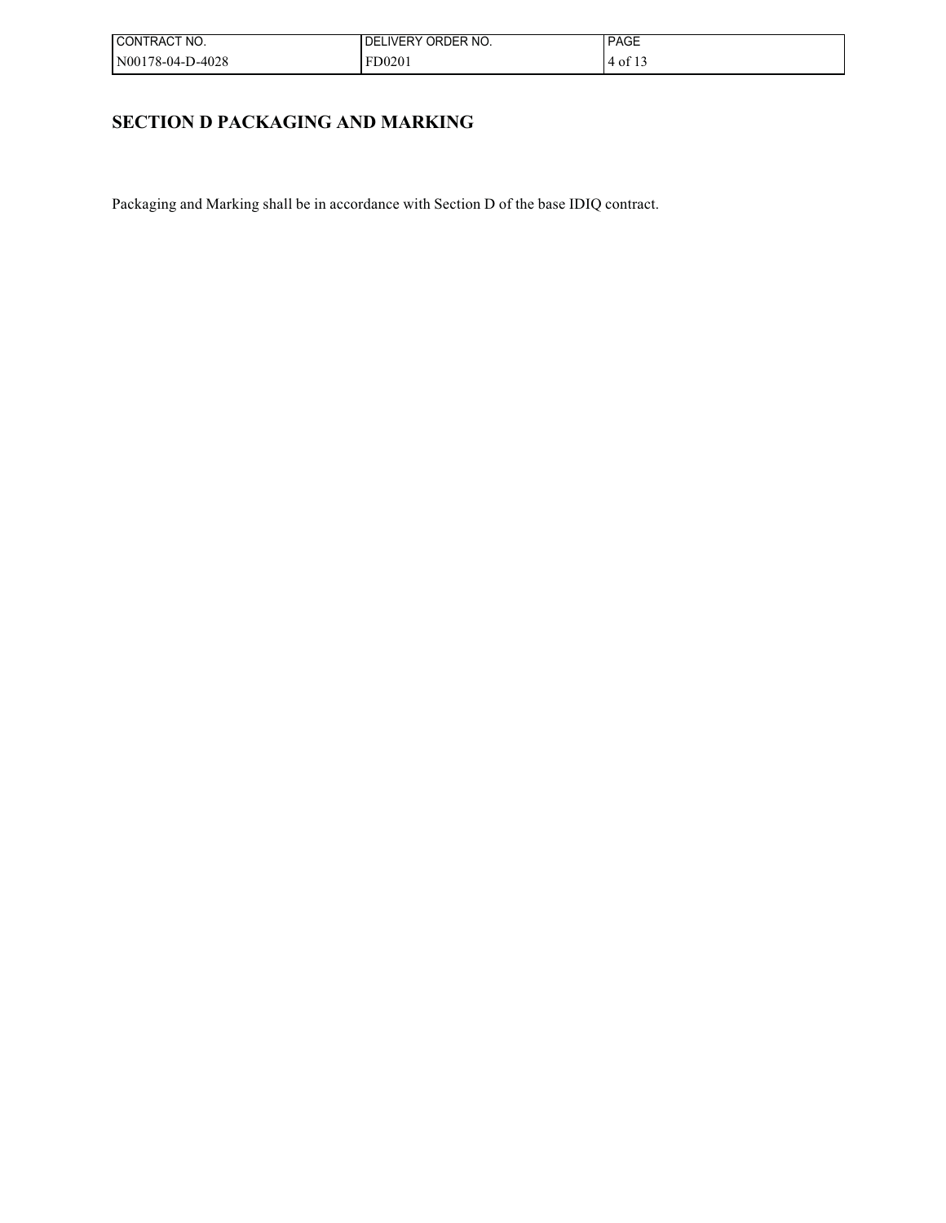| ! CONTRACT NO.   | I DELIVERY ORDER NO. | <b>PAGE</b>  |
|------------------|----------------------|--------------|
| N00178-04-D-4028 | FD0201               | $.4$ of $.1$ |

## **SECTION D PACKAGING AND MARKING**

Packaging and Marking shall be in accordance with Section D of the base IDIQ contract.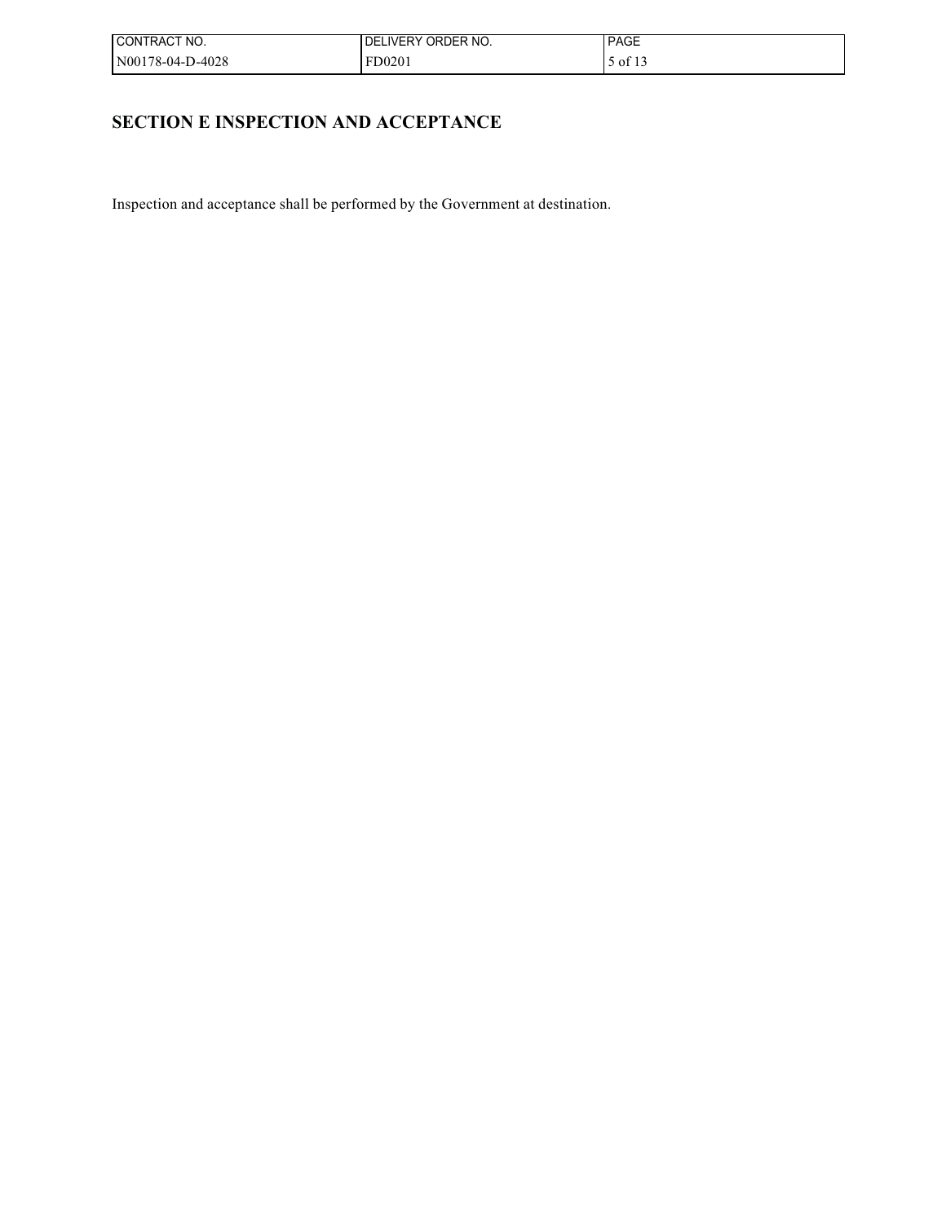| ! CONTRACT NO.   | I DELIVERY ORDER NO. | <b>PAGE</b> |
|------------------|----------------------|-------------|
| N00178-04-D-4028 | FD0201               | of 13       |

## **SECTION E INSPECTION AND ACCEPTANCE**

Inspection and acceptance shall be performed by the Government at destination.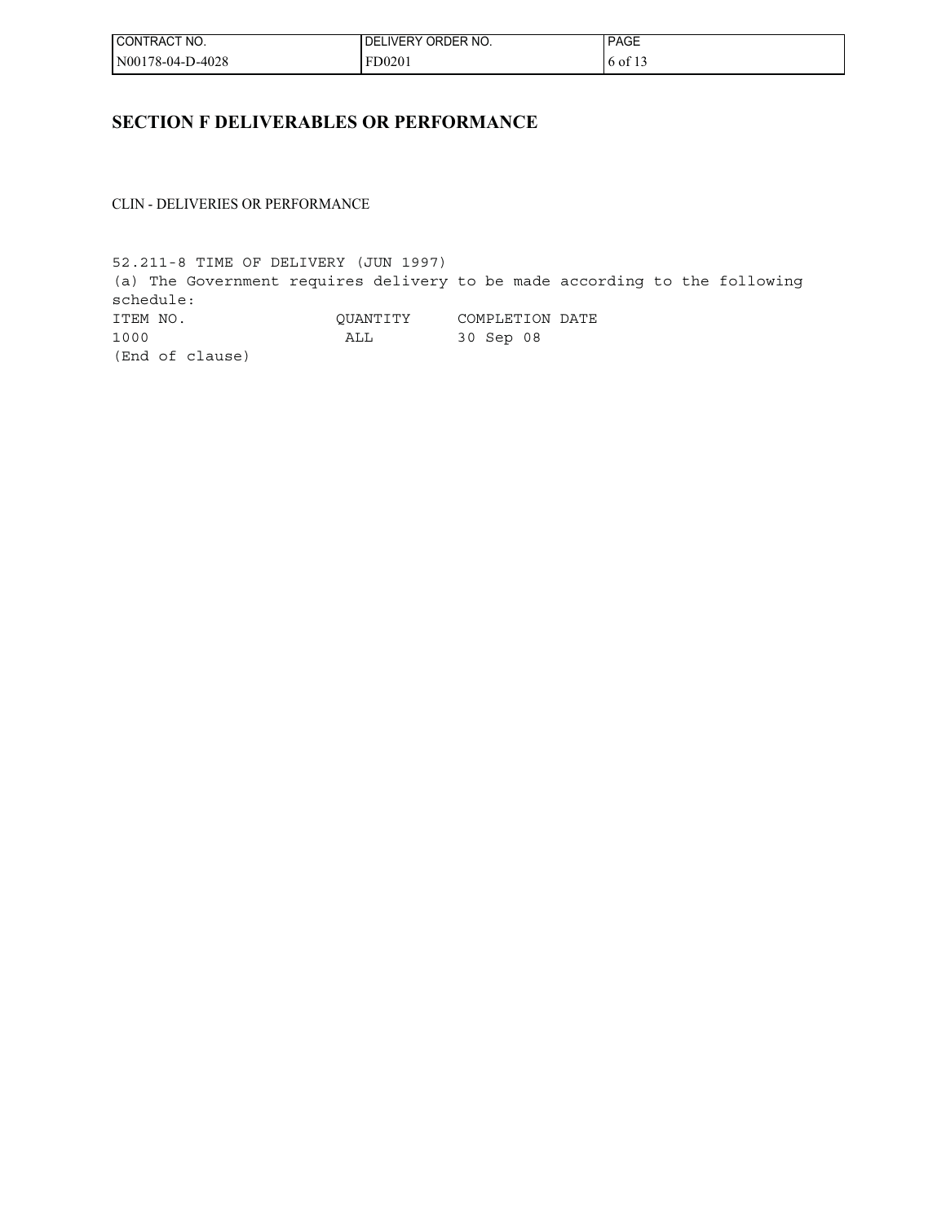| l CONTRACT NO.   | DELIVERY ORDER NO. | <b>PAGE</b> |
|------------------|--------------------|-------------|
| N00178-04-D-4028 | FD0201             | 6 of 13     |

## **SECTION F DELIVERABLES OR PERFORMANCE**

CLIN - DELIVERIES OR PERFORMANCE

52.211-8 TIME OF DELIVERY (JUN 1997) (a) The Government requires delivery to be made according to the following schedule: ITEM NO. QUANTITY COMPLETION DATE 1000 ALL 30 Sep 08 (End of clause)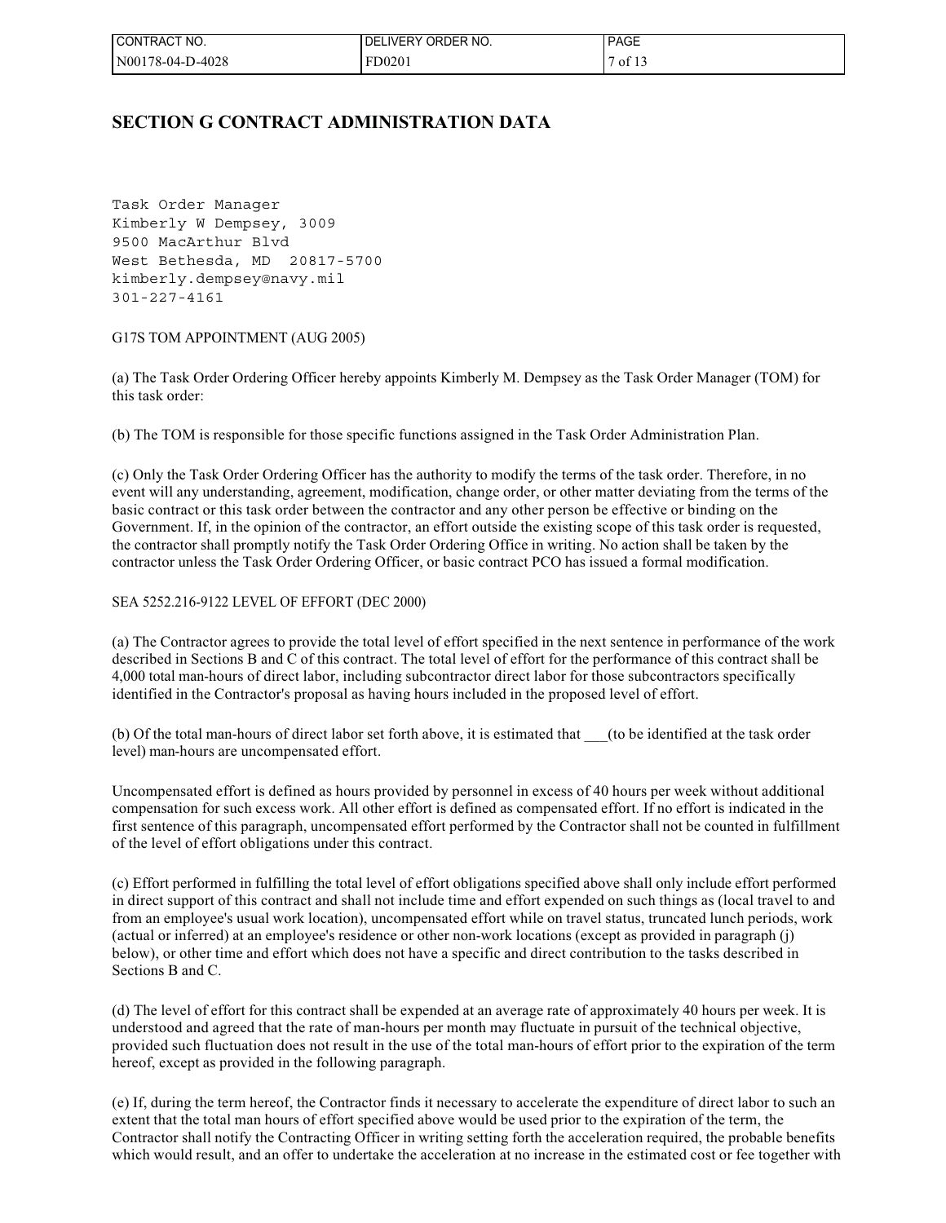| l CONTRACT NO.   | ORDER NO.<br>LIVERY (<br>DEI | <b>PAGE</b> |
|------------------|------------------------------|-------------|
| N00178-04-D-4028 | FD0201                       | of $13$     |

### **SECTION G CONTRACT ADMINISTRATION DATA**

Task Order Manager Kimberly W Dempsey, 3009 9500 MacArthur Blvd West Bethesda, MD 20817-5700 kimberly.dempsey@navy.mil 301-227-4161

### G17S TOM APPOINTMENT (AUG 2005)

(a) The Task Order Ordering Officer hereby appoints Kimberly M. Dempsey as the Task Order Manager (TOM) for this task order:

(b) The TOM is responsible for those specific functions assigned in the Task Order Administration Plan.

(c) Only the Task Order Ordering Officer has the authority to modify the terms of the task order. Therefore, in no event will any understanding, agreement, modification, change order, or other matter deviating from the terms of the basic contract or this task order between the contractor and any other person be effective or binding on the Government. If, in the opinion of the contractor, an effort outside the existing scope of this task order is requested, the contractor shall promptly notify the Task Order Ordering Office in writing. No action shall be taken by the contractor unless the Task Order Ordering Officer, or basic contract PCO has issued a formal modification.

### SEA 5252.216-9122 LEVEL OF EFFORT (DEC 2000)

(a) The Contractor agrees to provide the total level of effort specified in the next sentence in performance of the work described in Sections B and C of this contract. The total level of effort for the performance of this contract shall be 4,000 total man-hours of direct labor, including subcontractor direct labor for those subcontractors specifically identified in the Contractor's proposal as having hours included in the proposed level of effort.

(b) Of the total man-hours of direct labor set forth above, it is estimated that \_\_\_(to be identified at the task order level) man-hours are uncompensated effort.

Uncompensated effort is defined as hours provided by personnel in excess of 40 hours per week without additional compensation for such excess work. All other effort is defined as compensated effort. If no effort is indicated in the first sentence of this paragraph, uncompensated effort performed by the Contractor shall not be counted in fulfillment of the level of effort obligations under this contract.

(c) Effort performed in fulfilling the total level of effort obligations specified above shall only include effort performed in direct support of this contract and shall not include time and effort expended on such things as (local travel to and from an employee's usual work location), uncompensated effort while on travel status, truncated lunch periods, work (actual or inferred) at an employee's residence or other non-work locations (except as provided in paragraph (j) below), or other time and effort which does not have a specific and direct contribution to the tasks described in Sections B and C.

(d) The level of effort for this contract shall be expended at an average rate of approximately 40 hours per week. It is understood and agreed that the rate of man-hours per month may fluctuate in pursuit of the technical objective, provided such fluctuation does not result in the use of the total man-hours of effort prior to the expiration of the term hereof, except as provided in the following paragraph.

(e) If, during the term hereof, the Contractor finds it necessary to accelerate the expenditure of direct labor to such an extent that the total man hours of effort specified above would be used prior to the expiration of the term, the Contractor shall notify the Contracting Officer in writing setting forth the acceleration required, the probable benefits which would result, and an offer to undertake the acceleration at no increase in the estimated cost or fee together with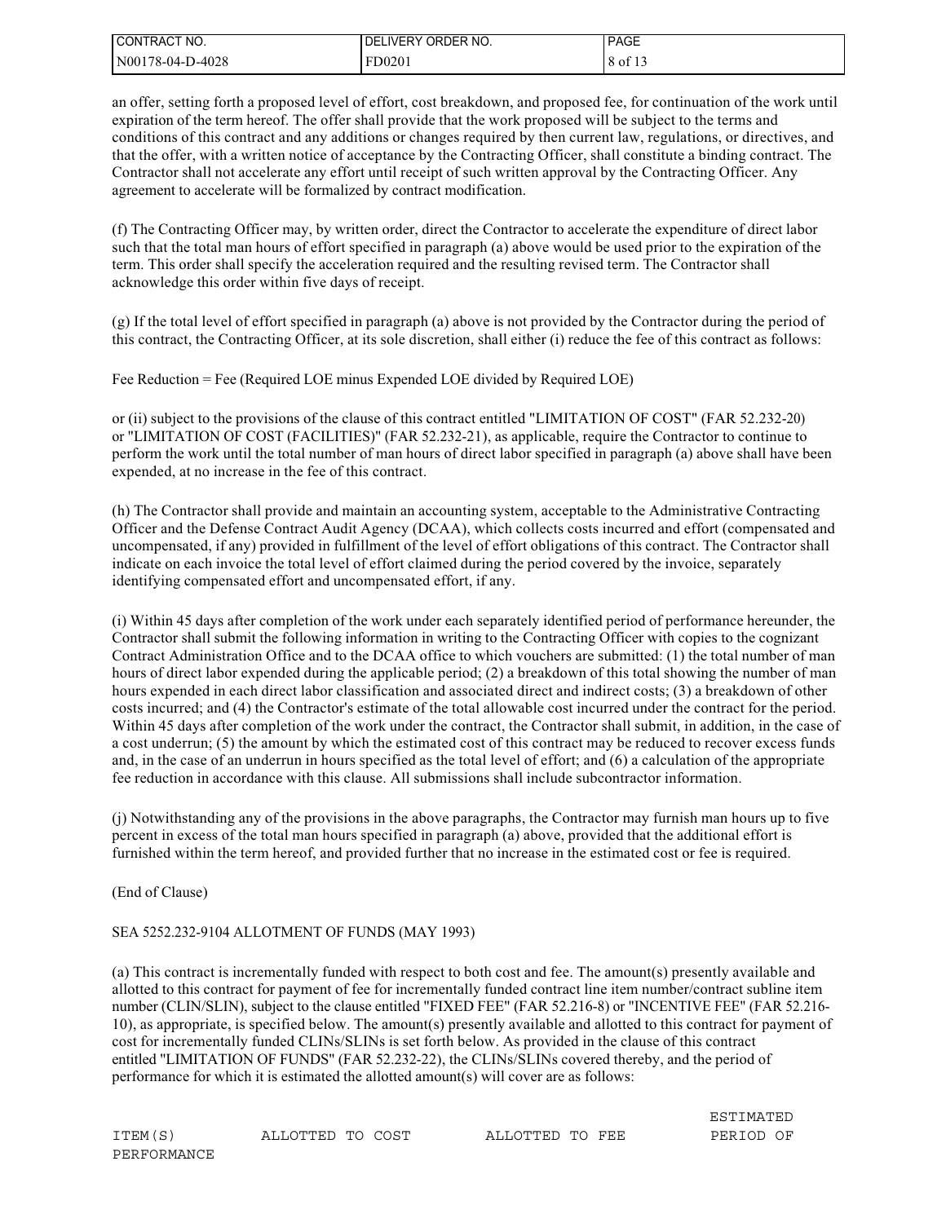| CONTRACT NO.     | I DELIVERY ORDER NO. | <b>PAGE</b> |
|------------------|----------------------|-------------|
| N00178-04-D-4028 | FD0201               | of 13 '     |

an offer, setting forth a proposed level of effort, cost breakdown, and proposed fee, for continuation of the work until expiration of the term hereof. The offer shall provide that the work proposed will be subject to the terms and conditions of this contract and any additions or changes required by then current law, regulations, or directives, and that the offer, with a written notice of acceptance by the Contracting Officer, shall constitute a binding contract. The Contractor shall not accelerate any effort until receipt of such written approval by the Contracting Officer. Any agreement to accelerate will be formalized by contract modification.

(f) The Contracting Officer may, by written order, direct the Contractor to accelerate the expenditure of direct labor such that the total man hours of effort specified in paragraph (a) above would be used prior to the expiration of the term. This order shall specify the acceleration required and the resulting revised term. The Contractor shall acknowledge this order within five days of receipt.

(g) If the total level of effort specified in paragraph (a) above is not provided by the Contractor during the period of this contract, the Contracting Officer, at its sole discretion, shall either (i) reduce the fee of this contract as follows:

Fee Reduction = Fee (Required LOE minus Expended LOE divided by Required LOE)

or (ii) subject to the provisions of the clause of this contract entitled "LIMITATION OF COST" (FAR 52.232-20) or "LIMITATION OF COST (FACILITIES)" (FAR 52.232-21), as applicable, require the Contractor to continue to perform the work until the total number of man hours of direct labor specified in paragraph (a) above shall have been expended, at no increase in the fee of this contract.

(h) The Contractor shall provide and maintain an accounting system, acceptable to the Administrative Contracting Officer and the Defense Contract Audit Agency (DCAA), which collects costs incurred and effort (compensated and uncompensated, if any) provided in fulfillment of the level of effort obligations of this contract. The Contractor shall indicate on each invoice the total level of effort claimed during the period covered by the invoice, separately identifying compensated effort and uncompensated effort, if any.

(i) Within 45 days after completion of the work under each separately identified period of performance hereunder, the Contractor shall submit the following information in writing to the Contracting Officer with copies to the cognizant Contract Administration Office and to the DCAA office to which vouchers are submitted: (1) the total number of man hours of direct labor expended during the applicable period; (2) a breakdown of this total showing the number of man hours expended in each direct labor classification and associated direct and indirect costs; (3) a breakdown of other costs incurred; and (4) the Contractor's estimate of the total allowable cost incurred under the contract for the period. Within 45 days after completion of the work under the contract, the Contractor shall submit, in addition, in the case of a cost underrun; (5) the amount by which the estimated cost of this contract may be reduced to recover excess funds and, in the case of an underrun in hours specified as the total level of effort; and (6) a calculation of the appropriate fee reduction in accordance with this clause. All submissions shall include subcontractor information.

(j) Notwithstanding any of the provisions in the above paragraphs, the Contractor may furnish man hours up to five percent in excess of the total man hours specified in paragraph (a) above, provided that the additional effort is furnished within the term hereof, and provided further that no increase in the estimated cost or fee is required.

(End of Clause)

### SEA 5252.232-9104 ALLOTMENT OF FUNDS (MAY 1993)

(a) This contract is incrementally funded with respect to both cost and fee. The amount(s) presently available and allotted to this contract for payment of fee for incrementally funded contract line item number/contract subline item number (CLIN/SLIN), subject to the clause entitled "FIXED FEE" (FAR 52.216-8) or "INCENTIVE FEE" (FAR 52.216- 10), as appropriate, is specified below. The amount(s) presently available and allotted to this contract for payment of cost for incrementally funded CLINs/SLINs is set forth below. As provided in the clause of this contract entitled "LIMITATION OF FUNDS" (FAR 52.232-22), the CLINs/SLINs covered thereby, and the period of performance for which it is estimated the allotted amount(s) will cover are as follows:

ITEM(S) ALLOTTED TO COST ALLOTTED TO FEE PERIOD OF

ESTIMATED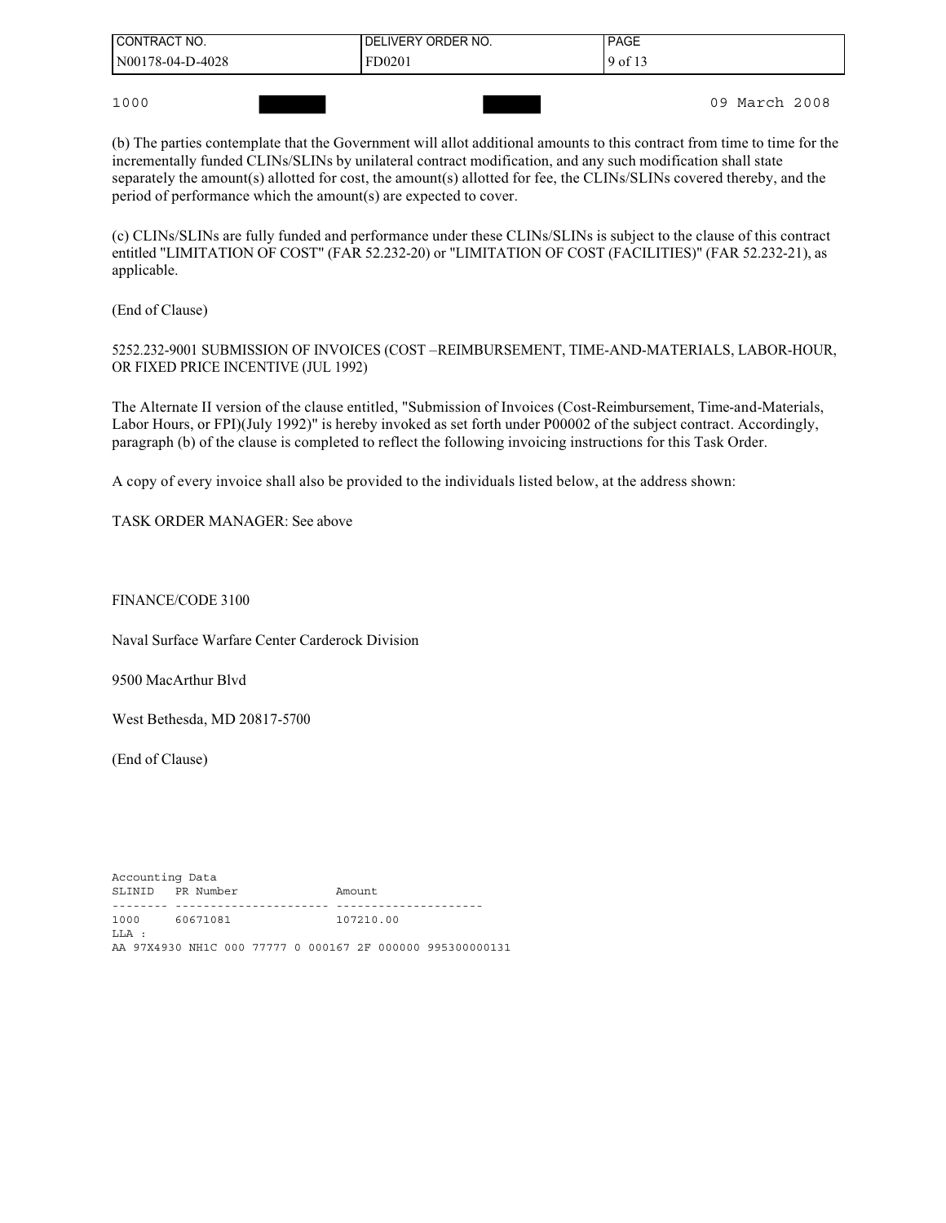| <b>I CONTRACT NO.</b> | LIVERY ORDER NO.<br>DEL | <b>PAGE</b> |
|-----------------------|-------------------------|-------------|
| $N00178-04-D-4028$    | FD0201                  | 9 of 13     |
|                       |                         |             |

1000 09 March 2008

(b) The parties contemplate that the Government will allot additional amounts to this contract from time to time for the incrementally funded CLINs/SLINs by unilateral contract modification, and any such modification shall state separately the amount(s) allotted for cost, the amount(s) allotted for fee, the CLINs/SLINs covered thereby, and the period of performance which the amount(s) are expected to cover.

(c) CLINs/SLINs are fully funded and performance under these CLINs/SLINs is subject to the clause of this contract entitled "LIMITATION OF COST" (FAR 52.232-20) or "LIMITATION OF COST (FACILITIES)" (FAR 52.232-21), as applicable.

(End of Clause)

5252.232-9001 SUBMISSION OF INVOICES (COST –REIMBURSEMENT, TIME-AND-MATERIALS, LABOR-HOUR, OR FIXED PRICE INCENTIVE (JUL 1992)

The Alternate II version of the clause entitled, "Submission of Invoices (Cost-Reimbursement, Time-and-Materials, Labor Hours, or FPI)(July 1992)" is hereby invoked as set forth under P00002 of the subject contract. Accordingly, paragraph (b) of the clause is completed to reflect the following invoicing instructions for this Task Order.

A copy of every invoice shall also be provided to the individuals listed below, at the address shown:

TASK ORDER MANAGER: See above

FINANCE/CODE 3100

Naval Surface Warfare Center Carderock Division

9500 MacArthur Blvd

West Bethesda, MD 20817-5700

(End of Clause)

Accounting Data SLINID PR Number Amount -------- ---------------------- --------------------- 1000 60671081 107210.00 LLA : AA 97X4930 NH1C 000 77777 0 000167 2F 000000 995300000131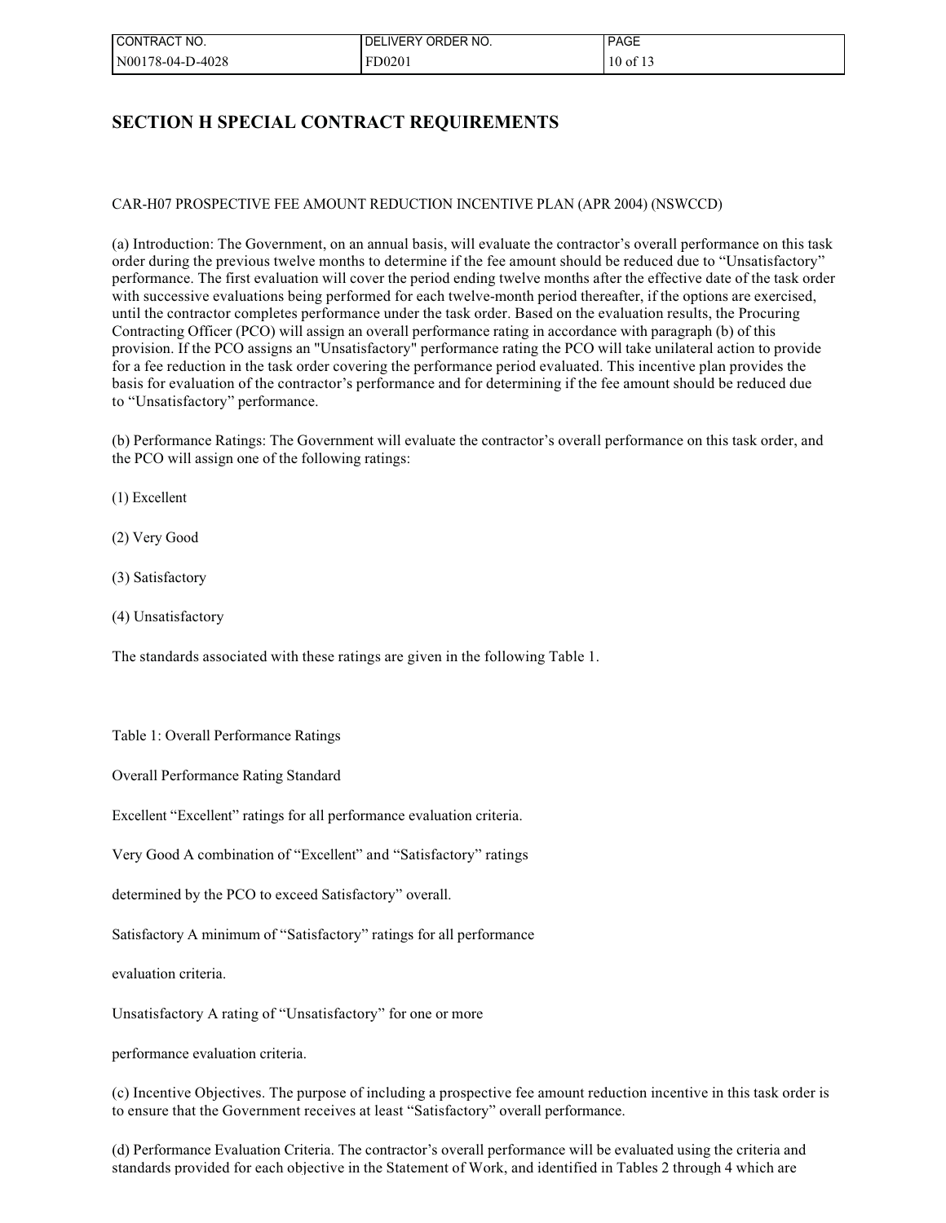| l CONTRACT NO.   | <b>LIVERY</b><br>ORDER NO.<br>DEI | <b>PAGE</b>  |
|------------------|-----------------------------------|--------------|
| N00178-04-D-4028 | FD0201                            | $10$ of $13$ |

### **SECTION H SPECIAL CONTRACT REQUIREMENTS**

CAR-H07 PROSPECTIVE FEE AMOUNT REDUCTION INCENTIVE PLAN (APR 2004) (NSWCCD)

(a) Introduction: The Government, on an annual basis, will evaluate the contractor's overall performance on this task order during the previous twelve months to determine if the fee amount should be reduced due to "Unsatisfactory" performance. The first evaluation will cover the period ending twelve months after the effective date of the task order with successive evaluations being performed for each twelve-month period thereafter, if the options are exercised, until the contractor completes performance under the task order. Based on the evaluation results, the Procuring Contracting Officer (PCO) will assign an overall performance rating in accordance with paragraph (b) of this provision. If the PCO assigns an "Unsatisfactory" performance rating the PCO will take unilateral action to provide for a fee reduction in the task order covering the performance period evaluated. This incentive plan provides the basis for evaluation of the contractor's performance and for determining if the fee amount should be reduced due to "Unsatisfactory" performance.

(b) Performance Ratings: The Government will evaluate the contractor's overall performance on this task order, and the PCO will assign one of the following ratings:

(1) Excellent

(2) Very Good

(3) Satisfactory

(4) Unsatisfactory

The standards associated with these ratings are given in the following Table 1.

Table 1: Overall Performance Ratings

Overall Performance Rating Standard

Excellent "Excellent" ratings for all performance evaluation criteria.

Very Good A combination of "Excellent" and "Satisfactory" ratings

determined by the PCO to exceed Satisfactory" overall.

Satisfactory A minimum of "Satisfactory" ratings for all performance

evaluation criteria.

Unsatisfactory A rating of "Unsatisfactory" for one or more

performance evaluation criteria.

(c) Incentive Objectives. The purpose of including a prospective fee amount reduction incentive in this task order is to ensure that the Government receives at least "Satisfactory" overall performance.

(d) Performance Evaluation Criteria. The contractor's overall performance will be evaluated using the criteria and standards provided for each objective in the Statement of Work, and identified in Tables 2 through 4 which are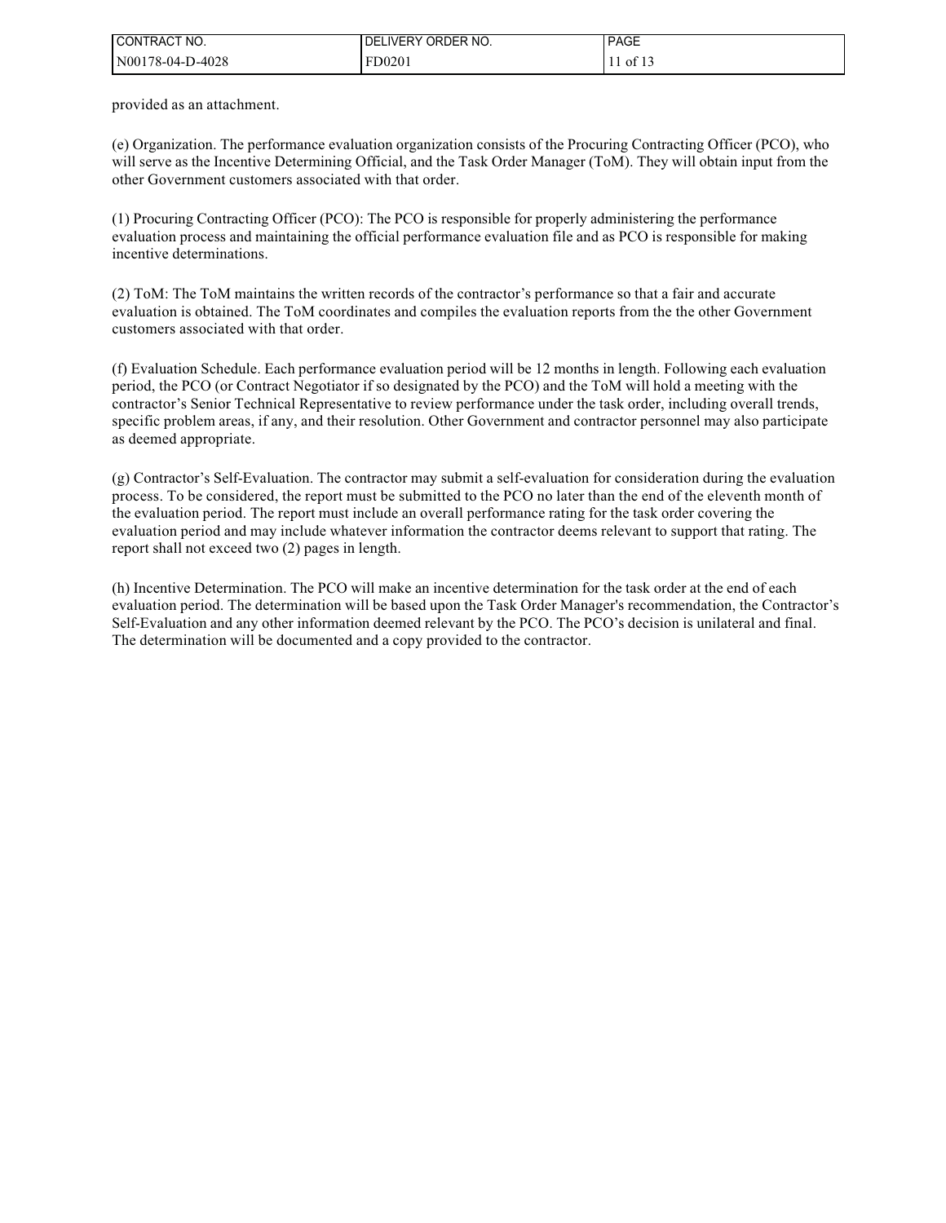| I CONTRACT NO.   | <b>IVERY</b><br>ORDER NO.<br>DE | <b>PAGE</b> |
|------------------|---------------------------------|-------------|
| N00178-04-D-4028 | FD0201                          | - OI<br>___ |

provided as an attachment.

(e) Organization. The performance evaluation organization consists of the Procuring Contracting Officer (PCO), who will serve as the Incentive Determining Official, and the Task Order Manager (ToM). They will obtain input from the other Government customers associated with that order.

(1) Procuring Contracting Officer (PCO): The PCO is responsible for properly administering the performance evaluation process and maintaining the official performance evaluation file and as PCO is responsible for making incentive determinations.

(2) ToM: The ToM maintains the written records of the contractor's performance so that a fair and accurate evaluation is obtained. The ToM coordinates and compiles the evaluation reports from the the other Government customers associated with that order.

(f) Evaluation Schedule. Each performance evaluation period will be 12 months in length. Following each evaluation period, the PCO (or Contract Negotiator if so designated by the PCO) and the ToM will hold a meeting with the contractor's Senior Technical Representative to review performance under the task order, including overall trends, specific problem areas, if any, and their resolution. Other Government and contractor personnel may also participate as deemed appropriate.

(g) Contractor's Self-Evaluation. The contractor may submit a self-evaluation for consideration during the evaluation process. To be considered, the report must be submitted to the PCO no later than the end of the eleventh month of the evaluation period. The report must include an overall performance rating for the task order covering the evaluation period and may include whatever information the contractor deems relevant to support that rating. The report shall not exceed two (2) pages in length.

(h) Incentive Determination. The PCO will make an incentive determination for the task order at the end of each evaluation period. The determination will be based upon the Task Order Manager's recommendation, the Contractor's Self-Evaluation and any other information deemed relevant by the PCO. The PCO's decision is unilateral and final. The determination will be documented and a copy provided to the contractor.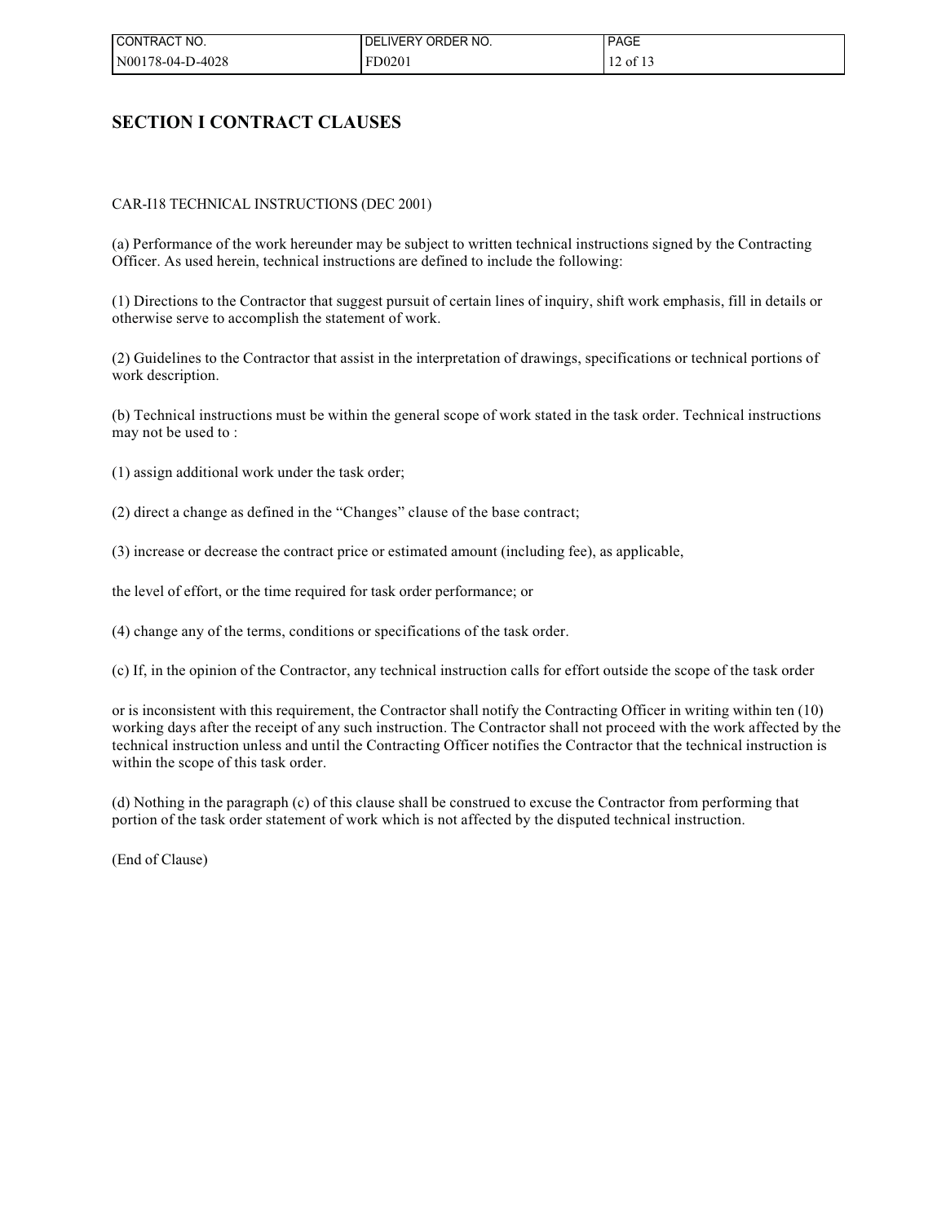| ' CONTRACT NO.   | '.IVERY ORDER NO.<br>DEI | <b>PAGE</b> |
|------------------|--------------------------|-------------|
| N00178-04-D-4028 | FD0201                   | 12 of 13    |

### **SECTION I CONTRACT CLAUSES**

### CAR-I18 TECHNICAL INSTRUCTIONS (DEC 2001)

(a) Performance of the work hereunder may be subject to written technical instructions signed by the Contracting Officer. As used herein, technical instructions are defined to include the following:

(1) Directions to the Contractor that suggest pursuit of certain lines of inquiry, shift work emphasis, fill in details or otherwise serve to accomplish the statement of work.

(2) Guidelines to the Contractor that assist in the interpretation of drawings, specifications or technical portions of work description.

(b) Technical instructions must be within the general scope of work stated in the task order. Technical instructions may not be used to :

(1) assign additional work under the task order;

(2) direct a change as defined in the "Changes" clause of the base contract;

(3) increase or decrease the contract price or estimated amount (including fee), as applicable,

the level of effort, or the time required for task order performance; or

(4) change any of the terms, conditions or specifications of the task order.

(c) If, in the opinion of the Contractor, any technical instruction calls for effort outside the scope of the task order

or is inconsistent with this requirement, the Contractor shall notify the Contracting Officer in writing within ten (10) working days after the receipt of any such instruction. The Contractor shall not proceed with the work affected by the technical instruction unless and until the Contracting Officer notifies the Contractor that the technical instruction is within the scope of this task order.

(d) Nothing in the paragraph (c) of this clause shall be construed to excuse the Contractor from performing that portion of the task order statement of work which is not affected by the disputed technical instruction.

(End of Clause)